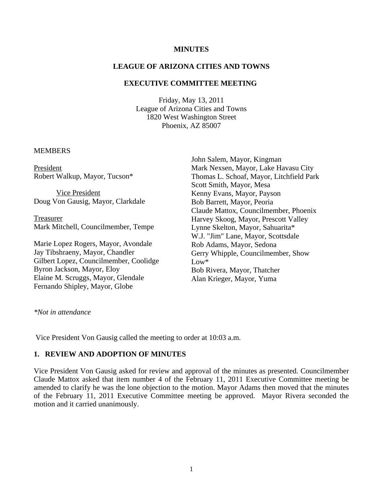#### **MINUTES**

### **LEAGUE OF ARIZONA CITIES AND TOWNS**

### **EXECUTIVE COMMITTEE MEETING**

Friday, May 13, 2011 League of Arizona Cities and Towns 1820 West Washington Street Phoenix, AZ 85007

#### **MEMBERS**

President Robert Walkup, Mayor, Tucson\*

Vice President Doug Von Gausig, Mayor, Clarkdale

Treasurer Mark Mitchell, Councilmember, Tempe

Marie Lopez Rogers, Mayor, Avondale Jay Tibshraeny, Mayor, Chandler Gilbert Lopez, Councilmember, Coolidge Byron Jackson, Mayor, Eloy Elaine M. Scruggs, Mayor, Glendale Fernando Shipley, Mayor, Globe

John Salem, Mayor, Kingman Mark Nexsen, Mayor, Lake Havasu City Thomas L. Schoaf, Mayor, Litchfield Park Scott Smith, Mayor, Mesa Kenny Evans, Mayor, Payson Bob Barrett, Mayor, Peoria Claude Mattox, Councilmember, Phoenix Harvey Skoog, Mayor, Prescott Valley Lynne Skelton, Mayor, Sahuarita\* W.J. "Jim" Lane, Mayor, Scottsdale Rob Adams, Mayor, Sedona Gerry Whipple, Councilmember, Show Low\* Bob Rivera, Mayor, Thatcher Alan Krieger, Mayor, Yuma

*\*Not in attendance*

Vice President Von Gausig called the meeting to order at 10:03 a.m.

#### **1. REVIEW AND ADOPTION OF MINUTES**

Vice President Von Gausig asked for review and approval of the minutes as presented. Councilmember Claude Mattox asked that item number 4 of the February 11, 2011 Executive Committee meeting be amended to clarify he was the lone objection to the motion. Mayor Adams then moved that the minutes of the February 11, 2011 Executive Committee meeting be approved. Mayor Rivera seconded the motion and it carried unanimously.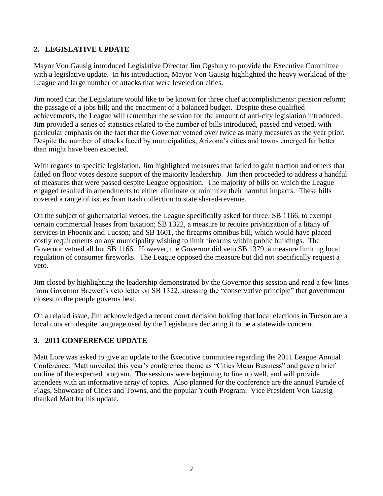# **2. LEGISLATIVE UPDATE**

Mayor Von Gausig introduced Legislative Director Jim Ogsbury to provide the Executive Committee with a legislative update. In his introduction, Mayor Von Gausig highlighted the heavy workload of the League and large number of attacks that were leveled on cities.

Jim noted that the Legislature would like to be known for three chief accomplishments: pension reform; the passage of a jobs bill; and the enactment of a balanced budget. Despite these qualified achievements, the League will remember the session for the amount of anti-city legislation introduced. Jim provided a series of statistics related to the number of bills introduced, passed and vetoed, with particular emphasis on the fact that the Governor vetoed over twice as many measures as the year prior. Despite the number of attacks faced by municipalities, Arizona's cities and towns emerged far better than might have been expected.

With regards to specific legislation, Jim highlighted measures that failed to gain traction and others that failed on floor votes despite support of the majority leadership. Jim then proceeded to address a handful of measures that were passed despite League opposition. The majority of bills on which the League engaged resulted in amendments to either eliminate or minimize their harmful impacts. These bills covered a range of issues from trash collection to state shared-revenue.

On the subject of gubernatorial vetoes, the League specifically asked for three: SB 1166, to exempt certain commercial leases from taxation; SB 1322, a measure to require privatization of a litany of services in Phoenix and Tucson; and SB 1601, the firearms omnibus bill, which would have placed costly requirements on any municipality wishing to limit firearms within public buildings. The Governor vetoed all but SB 1166. However, the Governor did veto SB 1379, a measure limiting local regulation of consumer fireworks. The League opposed the measure but did not specifically request a veto.

Jim closed by highlighting the leadership demonstrated by the Governor this session and read a few lines from Governor Brewer's veto letter on SB 1322, stressing the "conservative principle" that government closest to the people governs best.

On a related issue, Jim acknowledged a recent court decision holding that local elections in Tucson are a local concern despite language used by the Legislature declaring it to be a statewide concern.

# **3. 2011 CONFERENCE UPDATE**

Matt Lore was asked to give an update to the Executive committee regarding the 2011 League Annual Conference. Matt unveiled this year's conference theme as "Cities Mean Business" and gave a brief outline of the expected program. The sessions were beginning to line up well, and will provide attendees with an informative array of topics. Also planned for the conference are the annual Parade of Flags, Showcase of Cities and Towns, and the popular Youth Program. Vice President Von Gausig thanked Matt for his update.